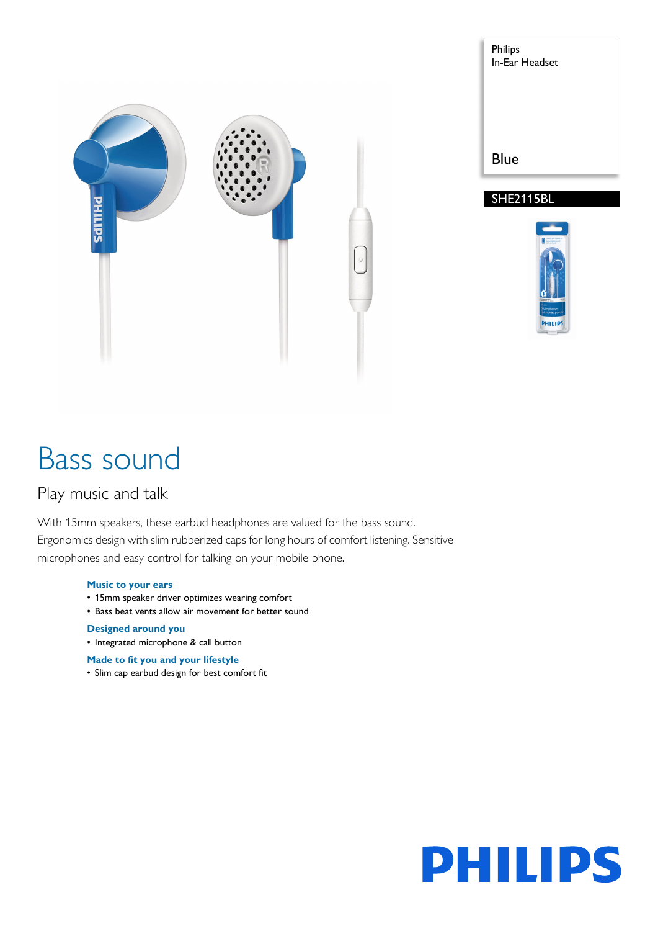





# Bass sound

# Play music and talk

With 15mm speakers, these earbud headphones are valued for the bass sound. Ergonomics design with slim rubberized caps for long hours of comfort listening. Sensitive microphones and easy control for talking on your mobile phone.

## **Music to your ears**

- 15mm speaker driver optimizes wearing comfort
- Bass beat vents allow air movement for better sound

## **Designed around you**

• Integrated microphone & call button

## **Made to fit you and your lifestyle**

• Slim cap earbud design for best comfort fit